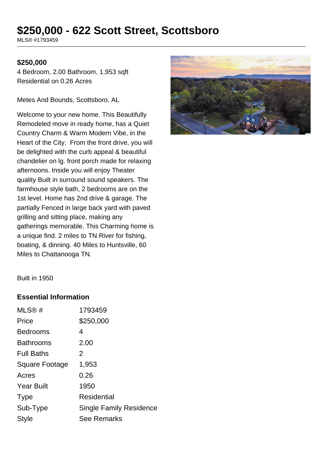# **\$250,000 - 622 Scott Street, Scottsboro**

MLS® #1793459

#### **\$250,000**

4 Bedroom, 2.00 Bathroom, 1,953 sqft Residential on 0.26 Acres

Metes And Bounds, Scottsboro, AL

Welcome to your new home. This Beautifully Remodeled move in ready home, has a Quiet Country Charm & Warm Modern Vibe, in the Heart of the City. From the front drive, you will be delighted with the curb appeal & beautiful chandelier on lg. front porch made for relaxing afternoons. Inside you will enjoy Theater quality Built in surround sound speakers. The farmhouse style bath, 2 bedrooms are on the 1st level. Home has 2nd drive & garage. The partially Fenced in large back yard with paved grilling and sitting place, making any gatherings memorable. This Charming home is a unique find. 2 miles to TN River for fishing, boating, & dinning. 40 Miles to Huntsville, 60 Miles to Chattanooga TN.



Built in 1950

## **Essential Information**

| MLS@#             | 1793459                 |
|-------------------|-------------------------|
| Price             | \$250,000               |
| <b>Bedrooms</b>   | 4                       |
| <b>Bathrooms</b>  | 2.00                    |
| <b>Full Baths</b> | 2                       |
| Square Footage    | 1,953                   |
| Acres             | 0.26                    |
| <b>Year Built</b> | 1950                    |
| <b>Type</b>       | Residential             |
| Sub-Type          | Single Family Residence |
| Style             | <b>See Remarks</b>      |